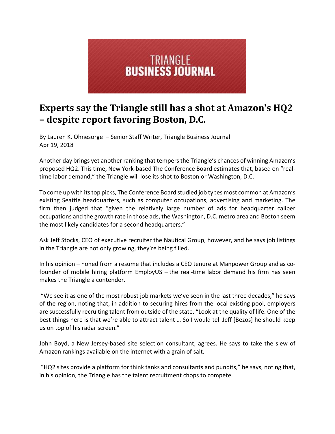

## **Experts say the Triangle still has a shot at Amazon's HQ2 – despite report favoring Boston, D.C.**

By Lauren K. Ohnesorge – Senior Staff Writer, Triangle Business Journal Apr 19, 2018

Another day brings yet another ranking that tempers the Triangle's chances of winning Amazon's proposed HQ2. This time, New York‐based The Conference Board estimates that, based on "real‐ time labor demand," the Triangle will lose its shot to Boston or Washington, D.C.

To come up with itstop picks, The Conference Board studied job types most common at Amazon's existing Seattle headquarters, such as computer occupations, advertising and marketing. The firm then judged that "given the relatively large number of ads for headquarter caliber occupations and the growth rate in those ads, the Washington, D.C. metro area and Boston seem the most likely candidates for a second headquarters."

Ask Jeff Stocks, CEO of executive recruiter the Nautical Group, however, and he says job listings in the Triangle are not only growing, they're being filled.

In his opinion – honed from a resume that includes a CEO tenure at Manpower Group and as co‐ founder of mobile hiring platform EmployUS – the real‐time labor demand his firm has seen makes the Triangle a contender.

"We see it as one of the most robust job markets we've seen in the last three decades," he says of the region, noting that, in addition to securing hires from the local existing pool, employers are successfully recruiting talent from outside of the state. "Look at the quality of life. One of the best things here is that we're able to attract talent … So I would tell Jeff [Bezos] he should keep us on top of his radar screen."

John Boyd, a New Jersey-based site selection consultant, agrees. He says to take the slew of Amazon rankings available on the internet with a grain of salt.

"HQ2 sites provide a platform for think tanks and consultants and pundits," he says, noting that, in his opinion, the Triangle has the talent recruitment chops to compete.